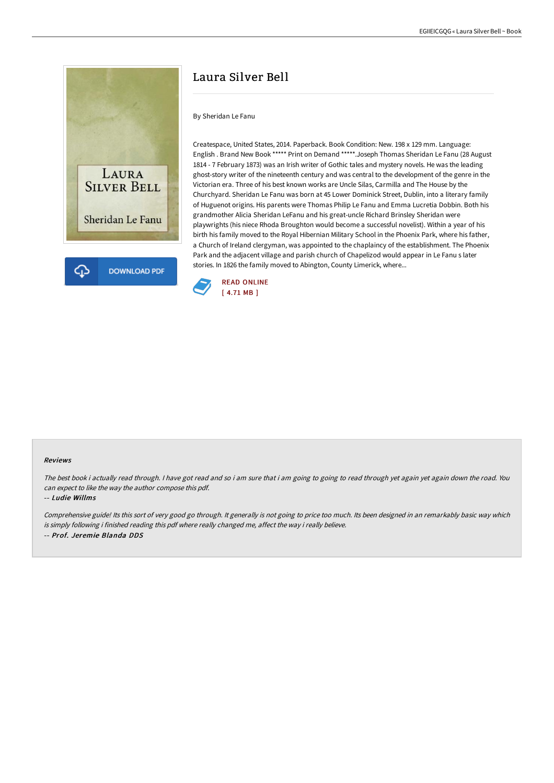

## Laura Silver Bell

By Sheridan Le Fanu

Createspace, United States, 2014. Paperback. Book Condition: New. 198 x 129 mm. Language: English . Brand New Book \*\*\*\*\* Print on Demand \*\*\*\*\*.Joseph Thomas Sheridan Le Fanu (28 August 1814 - 7 February 1873) was an Irish writer of Gothic tales and mystery novels. He was the leading ghost-story writer of the nineteenth century and was central to the development of the genre in the Victorian era. Three of his best known works are Uncle Silas, Carmilla and The House by the Churchyard. Sheridan Le Fanu was born at 45 Lower Dominick Street, Dublin, into a literary family of Huguenot origins. His parents were Thomas Philip Le Fanu and Emma Lucretia Dobbin. Both his grandmother Alicia Sheridan LeFanu and his great-uncle Richard Brinsley Sheridan were playwrights (his niece Rhoda Broughton would become a successful novelist). Within a year of his birth his family moved to the Royal Hibernian Military School in the Phoenix Park, where his father, a Church of Ireland clergyman, was appointed to the chaplaincy of the establishment. The Phoenix Park and the adjacent village and parish church of Chapelizod would appear in Le Fanu s later stories. In 1826 the family moved to Abington, County Limerick, where...



## Reviews

The best book i actually read through. I have got read and so i am sure that i am going to going to read through yet again yet again down the road. You can expect to like the way the author compose this pdf.

## -- Ludie Willms

Comprehensive guide! Its this sort of very good go through. It generally is not going to price too much. Its been designed in an remarkably basic way which is simply following i finished reading this pdf where really changed me, affect the way i really believe. -- Prof. Jeremie Blanda DDS